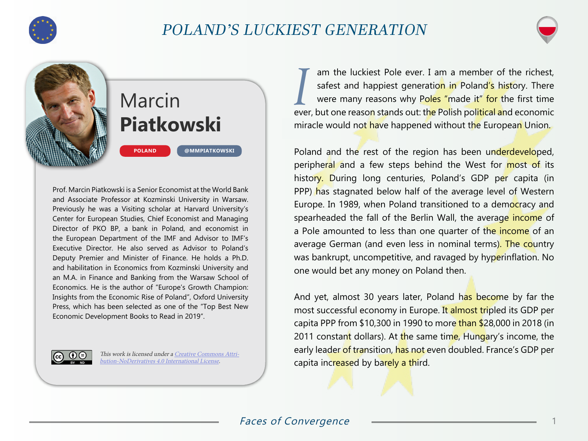

## POLAND'S LUCKIEST GENERATION



# Marcin **Piatkowski**

**[@MMPIATKOWSKI](https://twitter.com/mmpiatkowski)**

Prof. Marcin Piatkowski is a Senior Economist at the World Bank and Associate Professor at Kozminski University in Warsaw. Previously he was a Visiting scholar at Harvard University's Center for European Studies, Chief Economist and Managing Director of PKO BP, a bank in Poland, and economist in the European Department of the IMF and Advisor to IMF's Executive Director. He also served as Advisor to Poland's Deputy Premier and Minister of Finance. He holds a Ph.D. and habilitation in Economics from Kozminski University and an M.A. in Finance and Banking from the Warsaw School of Economics. He is the author of "Europe's Growth Champion: Insights from the Economic Rise of Poland", Oxford University Press, which has been selected as one of the "Top Best New Economic Development Books to Read in 2019".

**POLAND**

This work is licensed under a [Creative Commons Attri](https://creativecommons.org/licenses/by-nd/4.0/)[bution-NoDerivatives 4.0 International License](https://creativecommons.org/licenses/by-nd/4.0/).

*I* am the luckiest Pole ever. I am a member of the richest, safest and happiest generation in Poland's history. There were many reasons why Poles "made it" for the first time ever, but one reason stands out: the Polish political and economic miracle would not have happened without the European Union.

Poland and the rest of the region has been underdeveloped, peripheral and a few steps behind the West for most of its history. During long centuries, Poland's GDP per capita (in PPP) has stagnated below half of the average level of Western Europe. In 1989, when Poland transitioned to a democracy and spearheaded the fall of the Berlin Wall, the average income of a Pole amounted to less than one quarter of the income of an average German (and even less in nominal terms). The country was bankrupt, uncompetitive, and ravaged by hyperinflation. No one would bet any money on Poland then.

And yet, almost 30 years later, Poland has become by far the most successful economy in Europe. It almost tripled its GDP per capita PPP from \$10,300 in 1990 to more than \$28,000 in 2018 (in 2011 constant dollars). At the same time, Hungary's income, the early leader of transition, has not even doubled. France's GDP per capita increased by barely a third.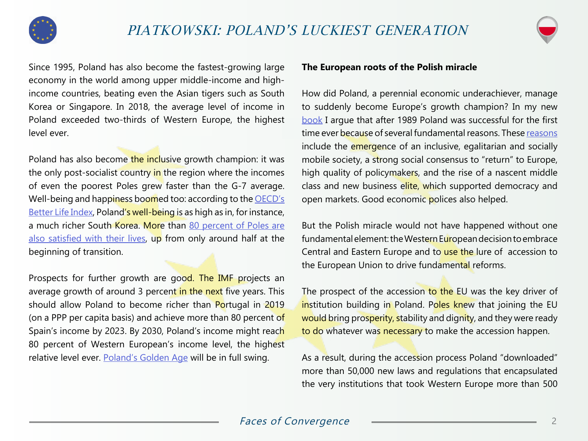



Since 1995, Poland has also become the fastest-growing large economy in the world among upper middle-income and highincome countries, beating even the Asian tigers such as South Korea or Singapore. In 2018, the average level of income in Poland exceeded two-thirds of Western Europe, the highest level ever.

Poland has also become the inclusive growth champion: it was the only post-socialist country in the region where the incomes of even the poorest Poles grew faster than the G-7 average. Well-being and happiness boomed too: according to the **OECD's** [Better Life Index,](http://www.oecdbetterlifeindex.org/) Poland's well-being is as high as in, for instance, a much richer South Korea. More than 80 percent of Poles are [also satisfied with their lives](http://www.diagnoza.com/index-en.html), up from only around half at the beginning of transition.

Prospects for further growth are good. The IMF projects an average growth of around 3 percent in the next five years. This should allow Poland to become richer than Portugal in 2019 (on a PPP per capita basis) and achieve more than 80 percent of Spain's income by 2023. By 2030, Poland's income might reach 80 percent of Western European's income level, the highest relative level ever. [Poland's Golden Age](http://documents.worldbank.org/curated/en/285611468107064618/Polands-new-golden-age-shifting-from-Europes-periphery-to-its-center) will be in full swing.

#### **The European roots of the Polish miracle**

How did Poland, a perennial economic underachiever, manage to suddenly become Europe's growth champion? In my new [book](https://global.oup.com/academic/product/europes-growth-champion-9780198839613?lang=en&cc=cn) I argue that after 1989 Poland was successful for the first time ever because of several fundamental reasons. These [reasons](https://blogs.lse.ac.uk/europpblog/2018/12/17/poland-has-become-europes-growth-champion-but-can-this-success-continue/) include the emergence of an inclusive, egalitarian and socially mobile society, a strong social consensus to "return" to Europe, high quality of policymakers, and the rise of a nascent middle class and new business elite, which supported democracy and open markets. Good economic polices also helped.

But the Polish miracle would not have happened without one fundamental element: the Western European decision to embrace Central and Eastern Europe and to use the lure of accession to the European Union to drive fundamental reforms.

The prospect of the accession to the EU was the key driver of institution building in Poland. Poles knew that joining the EU would bring prosperity, stability and dignity, and they were ready to do whatever was necessary to make the accession happen.

As a result, during the accession process Poland "downloaded" more than 50,000 new laws and regulations that encapsulated the very institutions that took Western Europe more than 500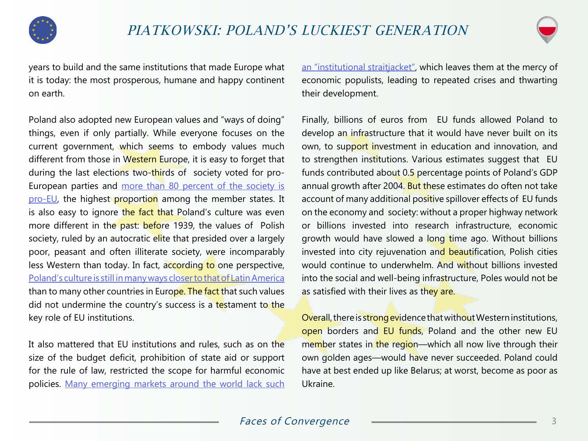



years to build and the same institutions that made Europe what it is today: the most prosperous, humane and happy continent on earth.

Poland also adopted new European values and "ways of doing" things, even if only partially. While everyone focuses on the current government, which seems to embody values much different from those in Western Europe, it is easy to forget that during the last elections two-thirds of society voted for pro-European parties and [more than 80 percent of the society is](https://www.independent.co.uk/news/world/europe/poland-eu-membership-support-for-membership-courts-rule-of-law-mateusz-morawiecki-juncker-a8149876.html)  [pro-EU,](https://www.independent.co.uk/news/world/europe/poland-eu-membership-support-for-membership-courts-rule-of-law-mateusz-morawiecki-juncker-a8149876.html) the highest proportion among the member states. It is also easy to ignore the fact that Poland's culture was even more different in the past: before 1939, the values of Polish society, ruled by an autocratic elite that presided over a largely poor, peasant and often illiterate society, were incomparably less Western than today. In fact, according to one perspective, [Poland's culture is still in many ways closer to that of Latin America](http://www.worldvaluessurvey.org/wvs.jsp) than to many other countries in Europe. The fact that such values did not undermine the country's success is a testament to the key role of EU institutions.

It also mattered that EU institutions and rules, such as on the size of the budget deficit, prohibition of state aid or support for the rule of law, restricted the scope for harmful economic policies. Many emerging markets around the world lack such

[an "institutional straitjacket",](https://papers.ssrn.com/sol3/papers.cfm?abstract_id=1515345) which leaves them at the mercy of economic populists, leading to repeated crises and thwarting their development.

Finally, billions of euros from EU funds allowed Poland to develop an infrastructure that it would have never built on its own, to support investment in education and innovation, and to strengthen institutions. Various estimates suggest that EU funds contributed about 0.5 percentage points of Poland's GDP annual growth after 2004. But these estimates do often not take account of many additional positive spillover effects of EU funds on the economy and society: without a proper highway network or billions invested into research infrastructure, economic growth would have slowed a long time ago. Without billions invested into city rejuvenation and beautification, Polish cities would continue to underwhelm. And without billions invested into the social and well-being infrastructure, Poles would not be as satisfied with their lives as they are.

Overall, there is strong evidence that without Western institutions, open borders and EU funds, Poland and the other new EU member states in the region—which all now live through their own golden ages—would have never succeeded. Poland could have at best ended up like Belarus; at worst, become as poor as Ukraine.